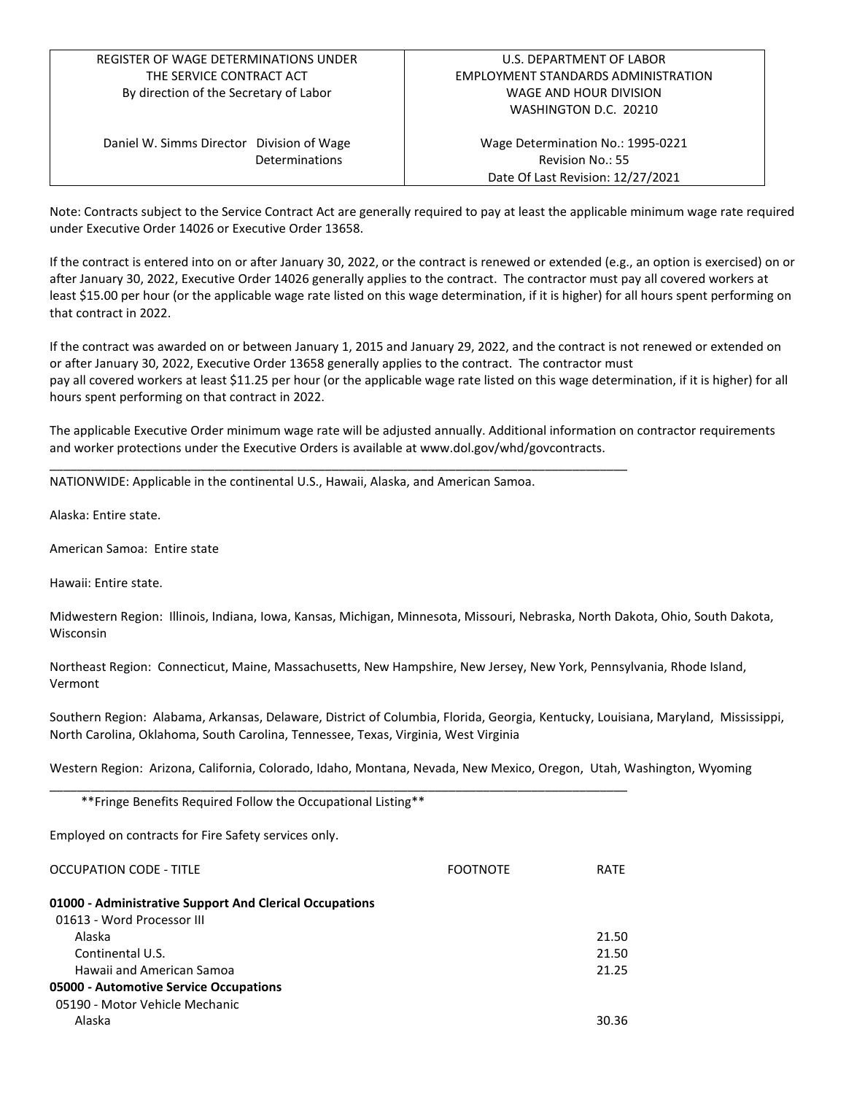# REGISTER OF WAGE DETERMINATIONS UNDER THE SERVICE CONTRACT ACT By direction of the Secretary of Labor

Daniel W. Simms Director Division of Wage Determinations

Wage Determination No.: 1995-0221 Revision No.: 55 Date Of Last Revision: 12/27/2021

Note: Contracts subject to the Service Contract Act are generally required to pay at least the applicable minimum wage rate required under Executive Order 14026 or Executive Order 13658.

If the contract is entered into on or after January 30, 2022, or the contract is renewed or extended (e.g., an option is exercised) on or after January 30, 2022, Executive Order 14026 generally applies to the contract. The contractor must pay all covered workers at least \$15.00 per hour (or the applicable wage rate listed on this wage determination, if it is higher) for all hours spent performing on that contract in 2022.

If the contract was awarded on or between January 1, 2015 and January 29, 2022, and the contract is not renewed or extended on or after January 30, 2022, Executive Order 13658 generally applies to the contract. The contractor must pay all covered workers at least \$11.25 per hour (or the applicable wage rate listed on this wage determination, if it is higher) for all hours spent performing on that contract in 2022.

The applicable Executive Order minimum wage rate will be adjusted annually. Additional information on contractor requirements and worker protections under the Executive Orders is available at www.dol.gov/whd/govcontracts.

NATIONWIDE: Applicable in the continental U.S., Hawaii, Alaska, and American Samoa.

\_\_\_\_\_\_\_\_\_\_\_\_\_\_\_\_\_\_\_\_\_\_\_\_\_\_\_\_\_\_\_\_\_\_\_\_\_\_\_\_\_\_\_\_\_\_\_\_\_\_\_\_\_\_\_\_\_\_\_\_\_\_\_\_\_\_\_\_\_\_\_\_\_\_\_\_\_\_\_\_\_\_\_\_

Alaska: Entire state.

American Samoa: Entire state

Hawaii: Entire state.

Midwestern Region: Illinois, Indiana, Iowa, Kansas, Michigan, Minnesota, Missouri, Nebraska, North Dakota, Ohio, South Dakota, Wisconsin

Northeast Region: Connecticut, Maine, Massachusetts, New Hampshire, New Jersey, New York, Pennsylvania, Rhode Island, Vermont

Southern Region: Alabama, Arkansas, Delaware, District of Columbia, Florida, Georgia, Kentucky, Louisiana, Maryland, Mississippi, North Carolina, Oklahoma, South Carolina, Tennessee, Texas, Virginia, West Virginia

Western Region: Arizona, California, Colorado, Idaho, Montana, Nevada, New Mexico, Oregon, Utah, Washington, Wyoming

\*\*Fringe Benefits Required Follow the Occupational Listing\*\*

Employed on contracts for Fire Safety services only.

| OCCUPATION CODE - TITLE                                 | <b>FOOTNOTE</b> | <b>RATF</b> |
|---------------------------------------------------------|-----------------|-------------|
| 01000 - Administrative Support And Clerical Occupations |                 |             |
| 01613 - Word Processor III                              |                 |             |
| Alaska                                                  |                 | 21.50       |
| Continental U.S.                                        |                 | 21.50       |
| Hawaii and American Samoa                               |                 | 21.25       |
| 05000 - Automotive Service Occupations                  |                 |             |
| 05190 - Motor Vehicle Mechanic                          |                 |             |
| Alaska                                                  |                 | 30.36       |

\_\_\_\_\_\_\_\_\_\_\_\_\_\_\_\_\_\_\_\_\_\_\_\_\_\_\_\_\_\_\_\_\_\_\_\_\_\_\_\_\_\_\_\_\_\_\_\_\_\_\_\_\_\_\_\_\_\_\_\_\_\_\_\_\_\_\_\_\_\_\_\_\_\_\_\_\_\_\_\_\_\_\_\_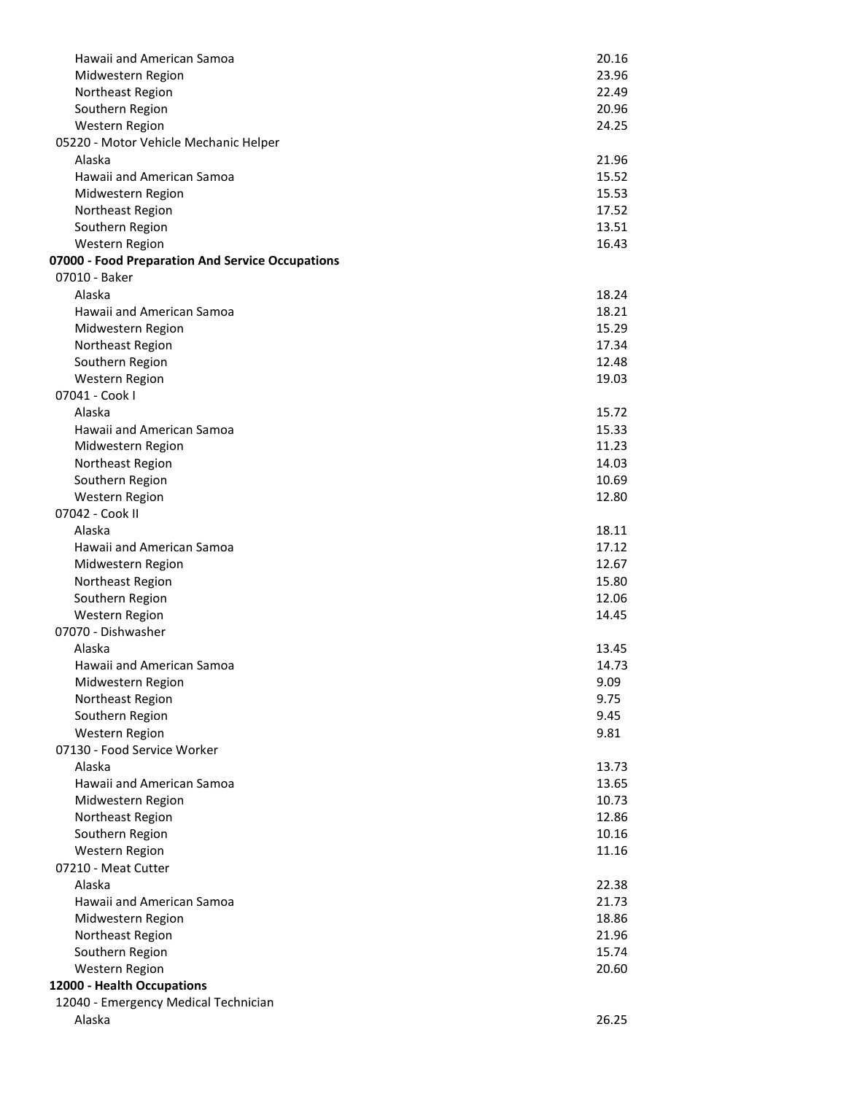| Hawaii and American Samoa                        | 20.16 |
|--------------------------------------------------|-------|
|                                                  | 23.96 |
| Midwestern Region                                |       |
| Northeast Region                                 | 22.49 |
| Southern Region                                  | 20.96 |
| Western Region                                   | 24.25 |
| 05220 - Motor Vehicle Mechanic Helper            |       |
| Alaska                                           | 21.96 |
| Hawaii and American Samoa                        | 15.52 |
| Midwestern Region                                | 15.53 |
| Northeast Region                                 | 17.52 |
| Southern Region                                  | 13.51 |
| Western Region                                   | 16.43 |
| 07000 - Food Preparation And Service Occupations |       |
| 07010 - Baker                                    |       |
| Alaska                                           | 18.24 |
| Hawaii and American Samoa                        | 18.21 |
| Midwestern Region                                | 15.29 |
| Northeast Region                                 | 17.34 |
| Southern Region                                  | 12.48 |
| Western Region                                   | 19.03 |
| 07041 - Cook I                                   |       |
| Alaska                                           | 15.72 |
| Hawaii and American Samoa                        | 15.33 |
| Midwestern Region                                | 11.23 |
|                                                  |       |
| Northeast Region                                 | 14.03 |
| Southern Region                                  | 10.69 |
| <b>Western Region</b>                            | 12.80 |
| 07042 - Cook II                                  |       |
| Alaska                                           | 18.11 |
| Hawaii and American Samoa                        | 17.12 |
| Midwestern Region                                | 12.67 |
| Northeast Region                                 | 15.80 |
| Southern Region                                  | 12.06 |
| Western Region                                   | 14.45 |
| 07070 - Dishwasher                               |       |
| Alaska                                           | 13.45 |
| Hawaii and American Samoa                        | 14.73 |
| Midwestern Region                                | 9.09  |
| Northeast Region                                 | 9.75  |
| Southern Region                                  | 9.45  |
| Western Region                                   | 9.81  |
| 07130 - Food Service Worker                      |       |
| Alaska                                           | 13.73 |
| Hawaii and American Samoa                        | 13.65 |
| Midwestern Region                                | 10.73 |
| Northeast Region                                 | 12.86 |
| Southern Region                                  | 10.16 |
| Western Region                                   | 11.16 |
| 07210 - Meat Cutter                              |       |
| Alaska                                           | 22.38 |
| Hawaii and American Samoa                        | 21.73 |
|                                                  |       |
| Midwestern Region                                | 18.86 |
| Northeast Region                                 | 21.96 |
| Southern Region                                  | 15.74 |
| Western Region                                   | 20.60 |
| 12000 - Health Occupations                       |       |
| 12040 - Emergency Medical Technician             |       |
| Alaska                                           | 26.25 |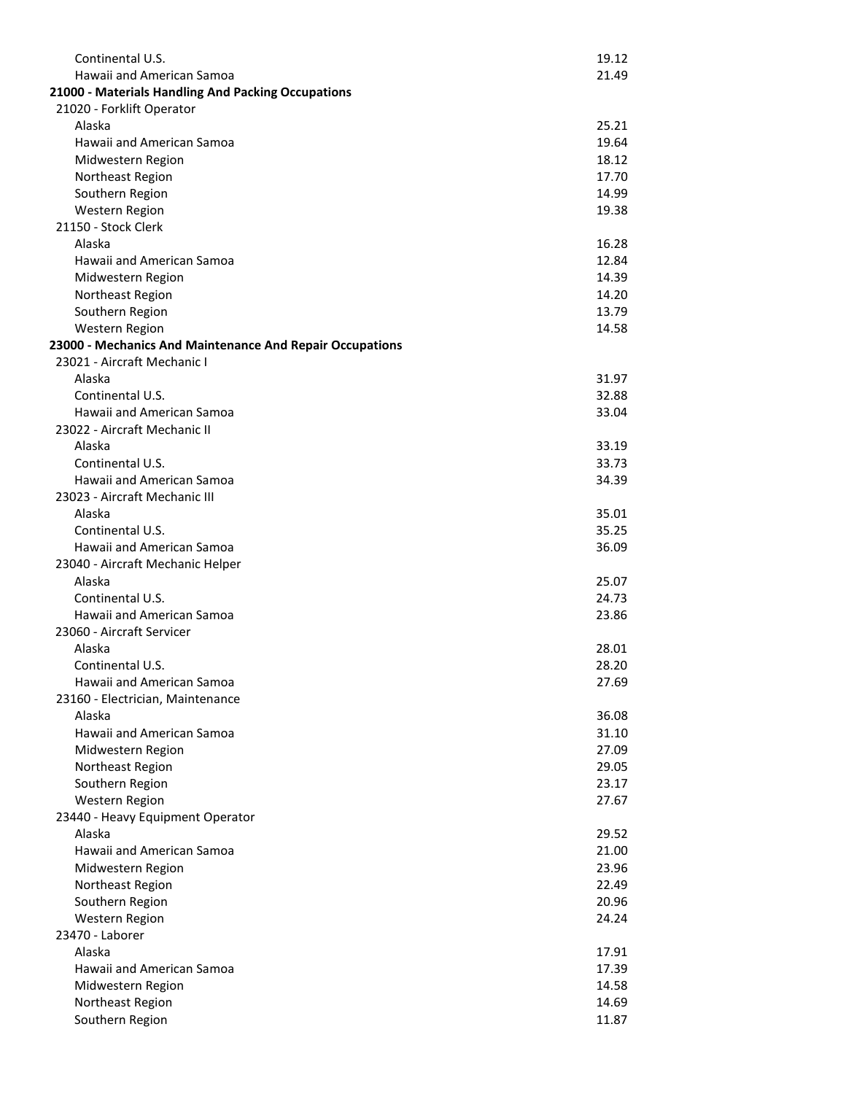| Continental U.S.                                         | 19.12          |
|----------------------------------------------------------|----------------|
| Hawaii and American Samoa                                | 21.49          |
| 21000 - Materials Handling And Packing Occupations       |                |
| 21020 - Forklift Operator                                |                |
| Alaska                                                   | 25.21          |
| Hawaii and American Samoa                                | 19.64          |
| Midwestern Region                                        | 18.12          |
| Northeast Region                                         | 17.70          |
| Southern Region                                          | 14.99          |
| Western Region                                           | 19.38          |
| 21150 - Stock Clerk                                      |                |
| Alaska                                                   | 16.28          |
| Hawaii and American Samoa                                | 12.84          |
| Midwestern Region                                        | 14.39          |
| Northeast Region                                         | 14.20          |
| Southern Region                                          | 13.79          |
| Western Region                                           | 14.58          |
| 23000 - Mechanics And Maintenance And Repair Occupations |                |
| 23021 - Aircraft Mechanic I                              |                |
| Alaska                                                   | 31.97          |
| Continental U.S.                                         | 32.88          |
| Hawaii and American Samoa                                | 33.04          |
| 23022 - Aircraft Mechanic II                             |                |
| Alaska                                                   | 33.19          |
| Continental U.S.                                         | 33.73          |
| Hawaii and American Samoa                                | 34.39          |
| 23023 - Aircraft Mechanic III                            |                |
| Alaska                                                   | 35.01          |
| Continental U.S.                                         | 35.25          |
| Hawaii and American Samoa                                | 36.09          |
| 23040 - Aircraft Mechanic Helper                         |                |
| Alaska                                                   | 25.07          |
| Continental U.S.                                         | 24.73          |
| Hawaii and American Samoa                                | 23.86          |
| 23060 - Aircraft Servicer                                |                |
| Alaska                                                   | 28.01          |
| Continental U.S.                                         | 28.20          |
| Hawaii and American Samoa                                | 27.69          |
| 23160 - Electrician, Maintenance                         |                |
|                                                          |                |
| Alaska<br>Hawaii and American Samoa                      | 36.08          |
| Midwestern Region                                        | 31.10<br>27.09 |
|                                                          | 29.05          |
| Northeast Region                                         | 23.17          |
| Southern Region                                          |                |
| <b>Western Region</b>                                    | 27.67          |
| 23440 - Heavy Equipment Operator                         |                |
| Alaska                                                   | 29.52          |
| Hawaii and American Samoa                                | 21.00          |
| Midwestern Region                                        | 23.96          |
| Northeast Region                                         | 22.49          |
| Southern Region                                          | 20.96          |
| Western Region                                           | 24.24          |
| 23470 - Laborer                                          |                |
| Alaska                                                   | 17.91          |
| Hawaii and American Samoa                                | 17.39          |
| Midwestern Region                                        | 14.58          |
| Northeast Region                                         | 14.69          |
| Southern Region                                          | 11.87          |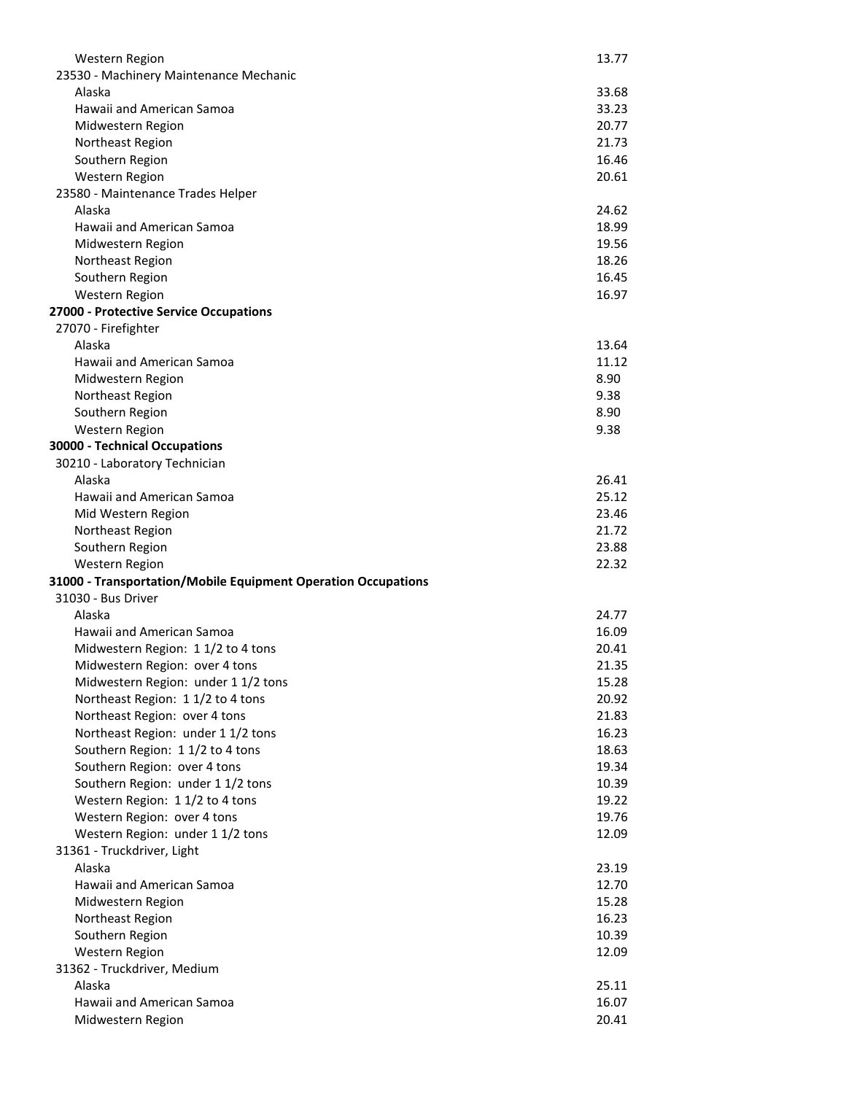| Western Region                                                | 13.77          |
|---------------------------------------------------------------|----------------|
| 23530 - Machinery Maintenance Mechanic                        |                |
| Alaska                                                        | 33.68          |
| Hawaii and American Samoa                                     | 33.23          |
| Midwestern Region                                             | 20.77          |
| Northeast Region                                              | 21.73          |
| Southern Region                                               | 16.46          |
| Western Region                                                | 20.61          |
| 23580 - Maintenance Trades Helper                             |                |
| Alaska                                                        | 24.62          |
| Hawaii and American Samoa                                     | 18.99          |
| Midwestern Region                                             | 19.56          |
| Northeast Region                                              | 18.26          |
| Southern Region                                               | 16.45<br>16.97 |
| Western Region<br>27000 - Protective Service Occupations      |                |
| 27070 - Firefighter                                           |                |
| Alaska                                                        | 13.64          |
| Hawaii and American Samoa                                     | 11.12          |
| Midwestern Region                                             | 8.90           |
| Northeast Region                                              | 9.38           |
| Southern Region                                               | 8.90           |
| Western Region                                                | 9.38           |
| 30000 - Technical Occupations                                 |                |
| 30210 - Laboratory Technician                                 |                |
| Alaska                                                        | 26.41          |
| Hawaii and American Samoa                                     | 25.12          |
| Mid Western Region                                            | 23.46          |
| Northeast Region                                              | 21.72          |
| Southern Region                                               | 23.88          |
| Western Region                                                | 22.32          |
| 31000 - Transportation/Mobile Equipment Operation Occupations |                |
| 31030 - Bus Driver                                            |                |
| Alaska                                                        | 24.77          |
| Hawaii and American Samoa                                     | 16.09          |
| Midwestern Region: 1 1/2 to 4 tons                            | 20.41          |
| Midwestern Region: over 4 tons                                | 21.35          |
| Midwestern Region: under 1 1/2 tons                           | 15.28          |
| Northeast Region: 1 1/2 to 4 tons                             | 20.92          |
| Northeast Region: over 4 tons                                 | 21.83          |
| Northeast Region: under 1 1/2 tons                            | 16.23          |
| Southern Region: 1 1/2 to 4 tons                              | 18.63          |
| Southern Region: over 4 tons                                  | 19.34          |
| Southern Region: under 1 1/2 tons                             | 10.39          |
| Western Region: 1 1/2 to 4 tons                               | 19.22          |
| Western Region: over 4 tons                                   | 19.76          |
| Western Region: under 1 1/2 tons                              | 12.09          |
| 31361 - Truckdriver, Light                                    |                |
| Alaska                                                        | 23.19          |
| Hawaii and American Samoa                                     | 12.70          |
| Midwestern Region                                             | 15.28          |
| Northeast Region                                              | 16.23          |
| Southern Region                                               | 10.39          |
| Western Region                                                | 12.09          |
| 31362 - Truckdriver, Medium                                   |                |
| Alaska                                                        | 25.11          |
| Hawaii and American Samoa                                     | 16.07          |
| Midwestern Region                                             | 20.41          |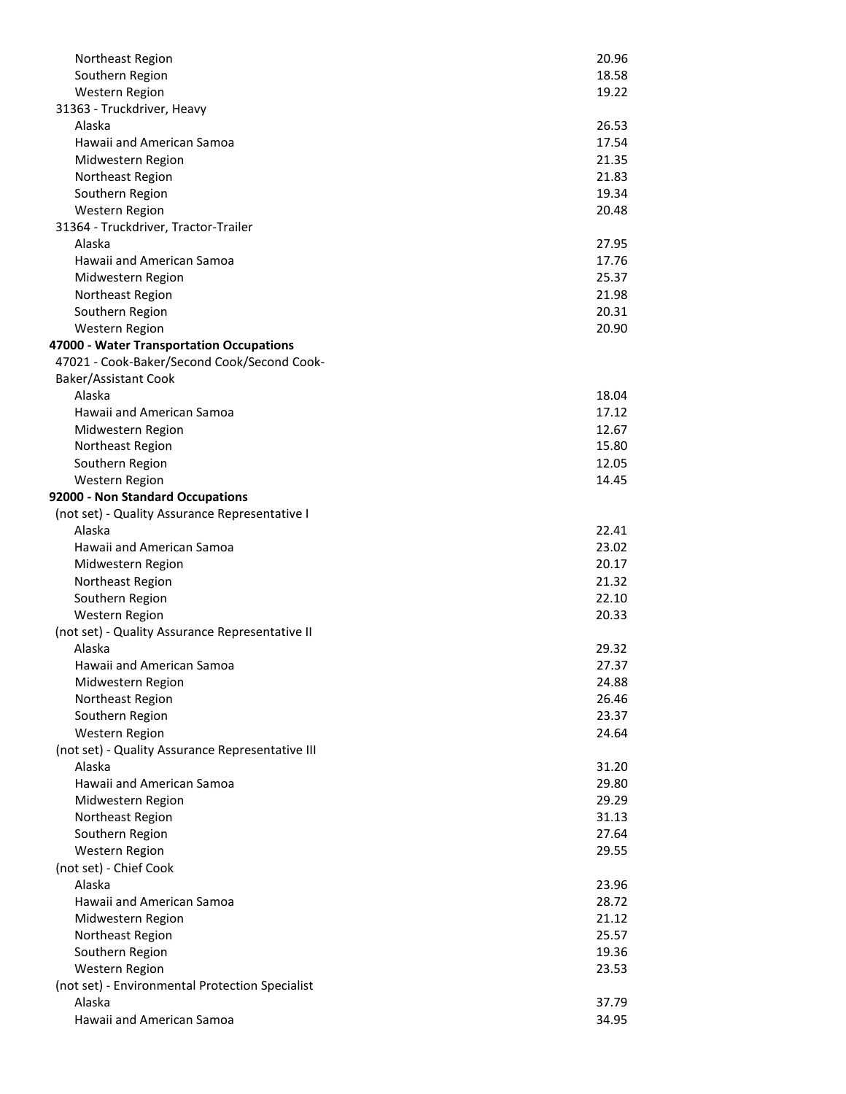| Northeast Region                                          | 20.96          |
|-----------------------------------------------------------|----------------|
| Southern Region                                           | 18.58          |
| <b>Western Region</b>                                     | 19.22          |
| 31363 - Truckdriver, Heavy                                |                |
| Alaska                                                    | 26.53          |
| Hawaii and American Samoa                                 | 17.54          |
| Midwestern Region                                         | 21.35          |
| Northeast Region                                          | 21.83          |
| Southern Region                                           | 19.34          |
| Western Region                                            | 20.48          |
| 31364 - Truckdriver, Tractor-Trailer                      |                |
| Alaska                                                    | 27.95          |
| Hawaii and American Samoa                                 | 17.76          |
| Midwestern Region                                         | 25.37          |
| Northeast Region                                          | 21.98          |
| Southern Region                                           | 20.31          |
| <b>Western Region</b>                                     | 20.90          |
| 47000 - Water Transportation Occupations                  |                |
| 47021 - Cook-Baker/Second Cook/Second Cook-               |                |
| Baker/Assistant Cook                                      |                |
| Alaska                                                    | 18.04          |
| Hawaii and American Samoa                                 | 17.12          |
| Midwestern Region                                         | 12.67          |
| Northeast Region                                          | 15.80          |
| Southern Region                                           | 12.05          |
| <b>Western Region</b>                                     | 14.45          |
| 92000 - Non Standard Occupations                          |                |
| (not set) - Quality Assurance Representative I            |                |
| Alaska                                                    | 22.41          |
| Hawaii and American Samoa                                 | 23.02          |
| Midwestern Region                                         | 20.17          |
| Northeast Region                                          | 21.32          |
| Southern Region                                           | 22.10          |
| <b>Western Region</b>                                     | 20.33          |
| (not set) - Quality Assurance Representative II           |                |
| Alaska                                                    | 29.32          |
| Hawaii and American Samoa                                 | 27.37          |
| Midwestern Region                                         | 24.88          |
| Northeast Region                                          | 26.46          |
| Southern Region                                           | 23.37          |
| <b>Western Region</b>                                     | 24.64          |
| (not set) - Quality Assurance Representative III          |                |
| Alaska                                                    | 31.20          |
| Hawaii and American Samoa                                 | 29.80          |
| Midwestern Region                                         | 29.29          |
| Northeast Region                                          | 31.13          |
| Southern Region                                           | 27.64          |
| Western Region                                            | 29.55          |
| (not set) - Chief Cook                                    |                |
| Alaska                                                    | 23.96          |
| Hawaii and American Samoa                                 | 28.72          |
| Midwestern Region                                         | 21.12          |
|                                                           |                |
| Northeast Region                                          | 25.57          |
| Southern Region                                           | 19.36<br>23.53 |
| Western Region                                            |                |
| (not set) - Environmental Protection Specialist<br>Alaska |                |
| Hawaii and American Samoa                                 | 37.79          |
|                                                           | 34.95          |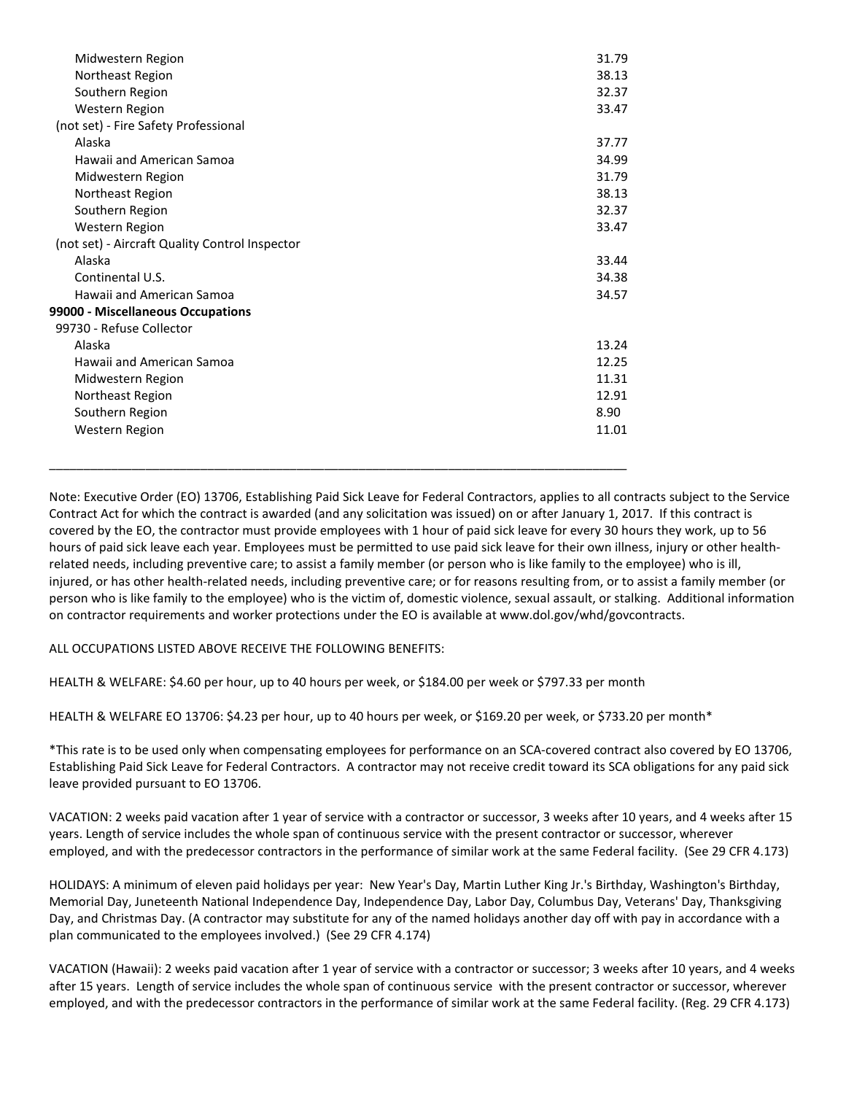| Midwestern Region                              | 31.79 |
|------------------------------------------------|-------|
| Northeast Region                               | 38.13 |
| Southern Region                                | 32.37 |
|                                                |       |
| Western Region                                 | 33.47 |
| (not set) - Fire Safety Professional           |       |
| Alaska                                         | 37.77 |
| Hawaii and American Samoa                      | 34.99 |
| Midwestern Region                              | 31.79 |
| Northeast Region                               | 38.13 |
| Southern Region                                | 32.37 |
| Western Region                                 | 33.47 |
| (not set) - Aircraft Quality Control Inspector |       |
| Alaska                                         | 33.44 |
| Continental U.S.                               | 34.38 |
| Hawaii and American Samoa                      | 34.57 |
| 99000 - Miscellaneous Occupations              |       |
| 99730 - Refuse Collector                       |       |
| Alaska                                         | 13.24 |
| Hawaii and American Samoa                      | 12.25 |
| Midwestern Region                              | 11.31 |
| Northeast Region                               | 12.91 |
| Southern Region                                | 8.90  |
| Western Region                                 | 11.01 |
|                                                |       |

\_\_\_\_\_\_\_\_\_\_\_\_\_\_\_\_\_\_\_\_\_\_\_\_\_\_\_\_\_\_\_\_\_\_\_\_\_\_\_\_\_\_\_\_\_\_\_\_\_\_\_\_\_\_\_\_\_\_\_\_\_\_\_\_\_\_\_\_\_\_\_\_\_\_\_\_\_\_\_\_\_\_\_\_

Note: Executive Order (EO) 13706, Establishing Paid Sick Leave for Federal Contractors, applies to all contracts subject to the Service Contract Act for which the contract is awarded (and any solicitation was issued) on or after January 1, 2017. If this contract is covered by the EO, the contractor must provide employees with 1 hour of paid sick leave for every 30 hours they work, up to 56 hours of paid sick leave each year. Employees must be permitted to use paid sick leave for their own illness, injury or other healthrelated needs, including preventive care; to assist a family member (or person who is like family to the employee) who is ill, injured, or has other health-related needs, including preventive care; or for reasons resulting from, or to assist a family member (or person who is like family to the employee) who is the victim of, domestic violence, sexual assault, or stalking. Additional information on contractor requirements and worker protections under the EO is available at www.dol.gov/whd/govcontracts.

ALL OCCUPATIONS LISTED ABOVE RECEIVE THE FOLLOWING BENEFITS:

HEALTH & WELFARE: \$4.60 per hour, up to 40 hours per week, or \$184.00 per week or \$797.33 per month

HEALTH & WELFARE EO 13706: \$4.23 per hour, up to 40 hours per week, or \$169.20 per week, or \$733.20 per month\*

\*This rate is to be used only when compensating employees for performance on an SCA-covered contract also covered by EO 13706, Establishing Paid Sick Leave for Federal Contractors. A contractor may not receive credit toward its SCA obligations for any paid sick leave provided pursuant to EO 13706.

VACATION: 2 weeks paid vacation after 1 year of service with a contractor or successor, 3 weeks after 10 years, and 4 weeks after 15 years. Length of service includes the whole span of continuous service with the present contractor or successor, wherever employed, and with the predecessor contractors in the performance of similar work at the same Federal facility. (See 29 CFR 4.173)

HOLIDAYS: A minimum of eleven paid holidays per year: New Year's Day, Martin Luther King Jr.'s Birthday, Washington's Birthday, Memorial Day, Juneteenth National Independence Day, Independence Day, Labor Day, Columbus Day, Veterans' Day, Thanksgiving Day, and Christmas Day. (A contractor may substitute for any of the named holidays another day off with pay in accordance with a plan communicated to the employees involved.) (See 29 CFR 4.174)

VACATION (Hawaii): 2 weeks paid vacation after 1 year of service with a contractor or successor; 3 weeks after 10 years, and 4 weeks after 15 years. Length of service includes the whole span of continuous service with the present contractor or successor, wherever employed, and with the predecessor contractors in the performance of similar work at the same Federal facility. (Reg. 29 CFR 4.173)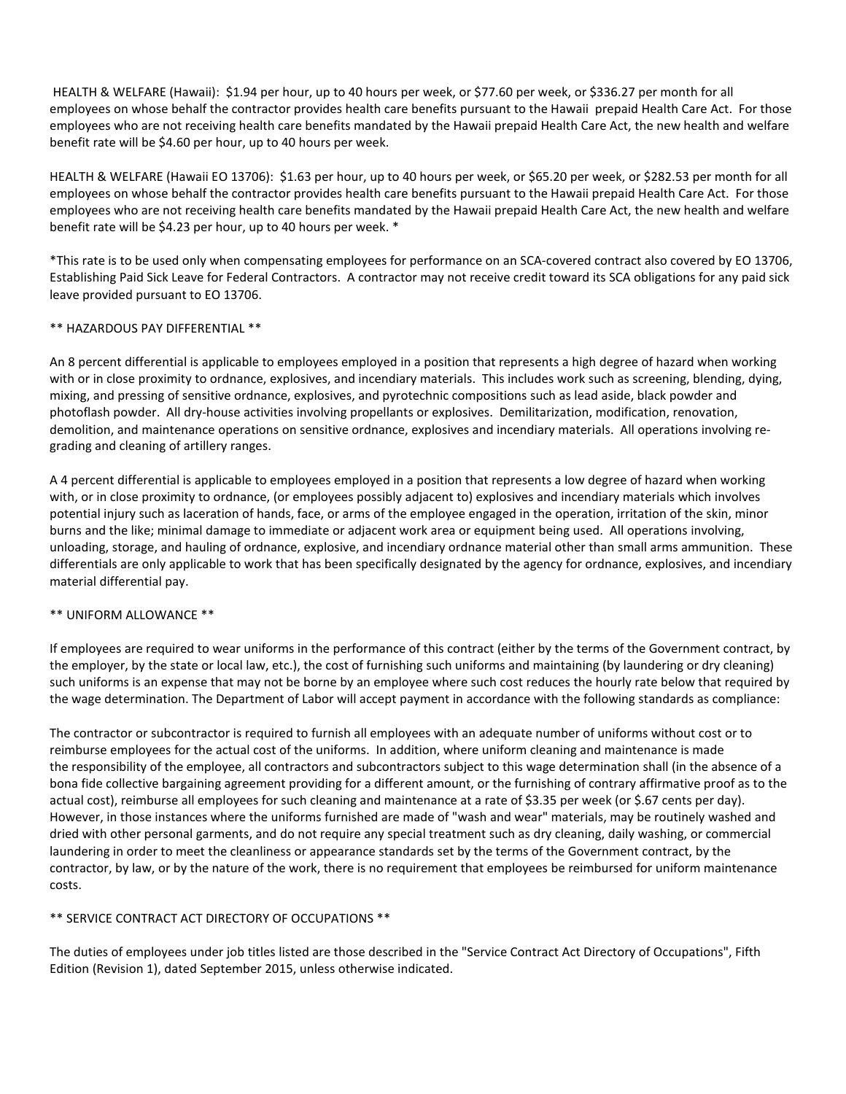HEALTH & WELFARE (Hawaii): \$1.94 per hour, up to 40 hours per week, or \$77.60 per week, or \$336.27 per month for all employees on whose behalf the contractor provides health care benefits pursuant to the Hawaii prepaid Health Care Act. For those employees who are not receiving health care benefits mandated by the Hawaii prepaid Health Care Act, the new health and welfare benefit rate will be \$4.60 per hour, up to 40 hours per week.

HEALTH & WELFARE (Hawaii EO 13706): \$1.63 per hour, up to 40 hours per week, or \$65.20 per week, or \$282.53 per month for all employees on whose behalf the contractor provides health care benefits pursuant to the Hawaii prepaid Health Care Act. For those employees who are not receiving health care benefits mandated by the Hawaii prepaid Health Care Act, the new health and welfare benefit rate will be \$4.23 per hour, up to 40 hours per week. \*

\*This rate is to be used only when compensating employees for performance on an SCA-covered contract also covered by EO 13706, Establishing Paid Sick Leave for Federal Contractors. A contractor may not receive credit toward its SCA obligations for any paid sick leave provided pursuant to EO 13706.

## \*\* HAZARDOUS PAY DIFFERENTIAL \*\*

An 8 percent differential is applicable to employees employed in a position that represents a high degree of hazard when working with or in close proximity to ordnance, explosives, and incendiary materials. This includes work such as screening, blending, dying, mixing, and pressing of sensitive ordnance, explosives, and pyrotechnic compositions such as lead aside, black powder and photoflash powder. All dry-house activities involving propellants or explosives. Demilitarization, modification, renovation, demolition, and maintenance operations on sensitive ordnance, explosives and incendiary materials. All operations involving regrading and cleaning of artillery ranges.

A 4 percent differential is applicable to employees employed in a position that represents a low degree of hazard when working with, or in close proximity to ordnance, (or employees possibly adjacent to) explosives and incendiary materials which involves potential injury such as laceration of hands, face, or arms of the employee engaged in the operation, irritation of the skin, minor burns and the like; minimal damage to immediate or adjacent work area or equipment being used. All operations involving, unloading, storage, and hauling of ordnance, explosive, and incendiary ordnance material other than small arms ammunition. These differentials are only applicable to work that has been specifically designated by the agency for ordnance, explosives, and incendiary material differential pay.

## \*\* UNIFORM ALLOWANCE \*\*

If employees are required to wear uniforms in the performance of this contract (either by the terms of the Government contract, by the employer, by the state or local law, etc.), the cost of furnishing such uniforms and maintaining (by laundering or dry cleaning) such uniforms is an expense that may not be borne by an employee where such cost reduces the hourly rate below that required by the wage determination. The Department of Labor will accept payment in accordance with the following standards as compliance:

The contractor or subcontractor is required to furnish all employees with an adequate number of uniforms without cost or to reimburse employees for the actual cost of the uniforms. In addition, where uniform cleaning and maintenance is made the responsibility of the employee, all contractors and subcontractors subject to this wage determination shall (in the absence of a bona fide collective bargaining agreement providing for a different amount, or the furnishing of contrary affirmative proof as to the actual cost), reimburse all employees for such cleaning and maintenance at a rate of \$3.35 per week (or \$.67 cents per day). However, in those instances where the uniforms furnished are made of "wash and wear" materials, may be routinely washed and dried with other personal garments, and do not require any special treatment such as dry cleaning, daily washing, or commercial laundering in order to meet the cleanliness or appearance standards set by the terms of the Government contract, by the contractor, by law, or by the nature of the work, there is no requirement that employees be reimbursed for uniform maintenance costs.

## \*\* SERVICE CONTRACT ACT DIRECTORY OF OCCUPATIONS \*\*

The duties of employees under job titles listed are those described in the "Service Contract Act Directory of Occupations", Fifth Edition (Revision 1), dated September 2015, unless otherwise indicated.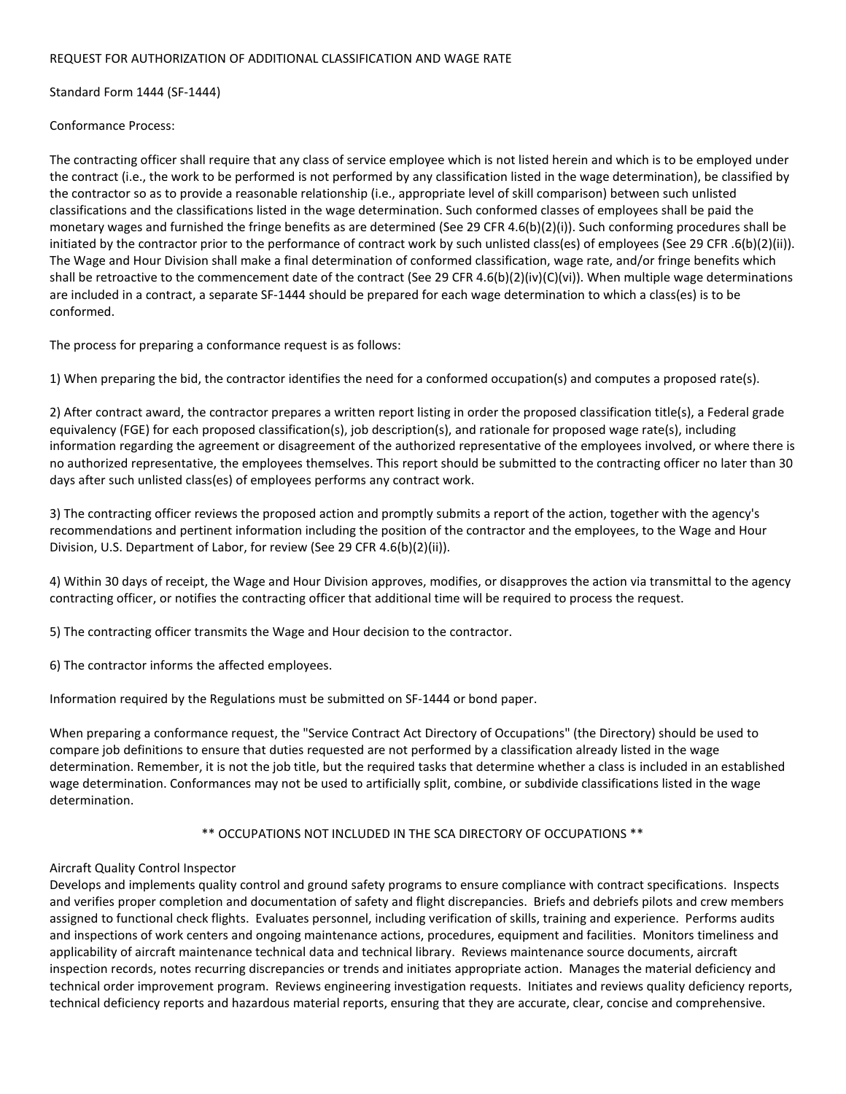#### REQUEST FOR AUTHORIZATION OF ADDITIONAL CLASSIFICATION AND WAGE RATE

Standard Form 1444 (SF-1444)

Conformance Process:

The contracting officer shall require that any class of service employee which is not listed herein and which is to be employed under the contract (i.e., the work to be performed is not performed by any classification listed in the wage determination), be classified by the contractor so as to provide a reasonable relationship (i.e., appropriate level of skill comparison) between such unlisted classifications and the classifications listed in the wage determination. Such conformed classes of employees shall be paid the monetary wages and furnished the fringe benefits as are determined (See 29 CFR 4.6(b)(2)(i)). Such conforming procedures shall be initiated by the contractor prior to the performance of contract work by such unlisted class(es) of employees (See 29 CFR .6(b)(2)(ii)). The Wage and Hour Division shall make a final determination of conformed classification, wage rate, and/or fringe benefits which shall be retroactive to the commencement date of the contract (See 29 CFR 4.6(b)(2)(iv)(C)(vi)). When multiple wage determinations are included in a contract, a separate SF-1444 should be prepared for each wage determination to which a class(es) is to be conformed.

The process for preparing a conformance request is as follows:

1) When preparing the bid, the contractor identifies the need for a conformed occupation(s) and computes a proposed rate(s).

2) After contract award, the contractor prepares a written report listing in order the proposed classification title(s), a Federal grade equivalency (FGE) for each proposed classification(s), job description(s), and rationale for proposed wage rate(s), including information regarding the agreement or disagreement of the authorized representative of the employees involved, or where there is no authorized representative, the employees themselves. This report should be submitted to the contracting officer no later than 30 days after such unlisted class(es) of employees performs any contract work.

3) The contracting officer reviews the proposed action and promptly submits a report of the action, together with the agency's recommendations and pertinent information including the position of the contractor and the employees, to the Wage and Hour Division, U.S. Department of Labor, for review (See 29 CFR 4.6(b)(2)(ii)).

4) Within 30 days of receipt, the Wage and Hour Division approves, modifies, or disapproves the action via transmittal to the agency contracting officer, or notifies the contracting officer that additional time will be required to process the request.

5) The contracting officer transmits the Wage and Hour decision to the contractor.

6) The contractor informs the affected employees.

Information required by the Regulations must be submitted on SF-1444 or bond paper.

When preparing a conformance request, the "Service Contract Act Directory of Occupations" (the Directory) should be used to compare job definitions to ensure that duties requested are not performed by a classification already listed in the wage determination. Remember, it is not the job title, but the required tasks that determine whether a class is included in an established wage determination. Conformances may not be used to artificially split, combine, or subdivide classifications listed in the wage determination.

\*\* OCCUPATIONS NOT INCLUDED IN THE SCA DIRECTORY OF OCCUPATIONS \*\*

## Aircraft Quality Control Inspector

Develops and implements quality control and ground safety programs to ensure compliance with contract specifications. Inspects and verifies proper completion and documentation of safety and flight discrepancies. Briefs and debriefs pilots and crew members assigned to functional check flights. Evaluates personnel, including verification of skills, training and experience. Performs audits and inspections of work centers and ongoing maintenance actions, procedures, equipment and facilities. Monitors timeliness and applicability of aircraft maintenance technical data and technical library. Reviews maintenance source documents, aircraft inspection records, notes recurring discrepancies or trends and initiates appropriate action. Manages the material deficiency and technical order improvement program. Reviews engineering investigation requests. Initiates and reviews quality deficiency reports, technical deficiency reports and hazardous material reports, ensuring that they are accurate, clear, concise and comprehensive.